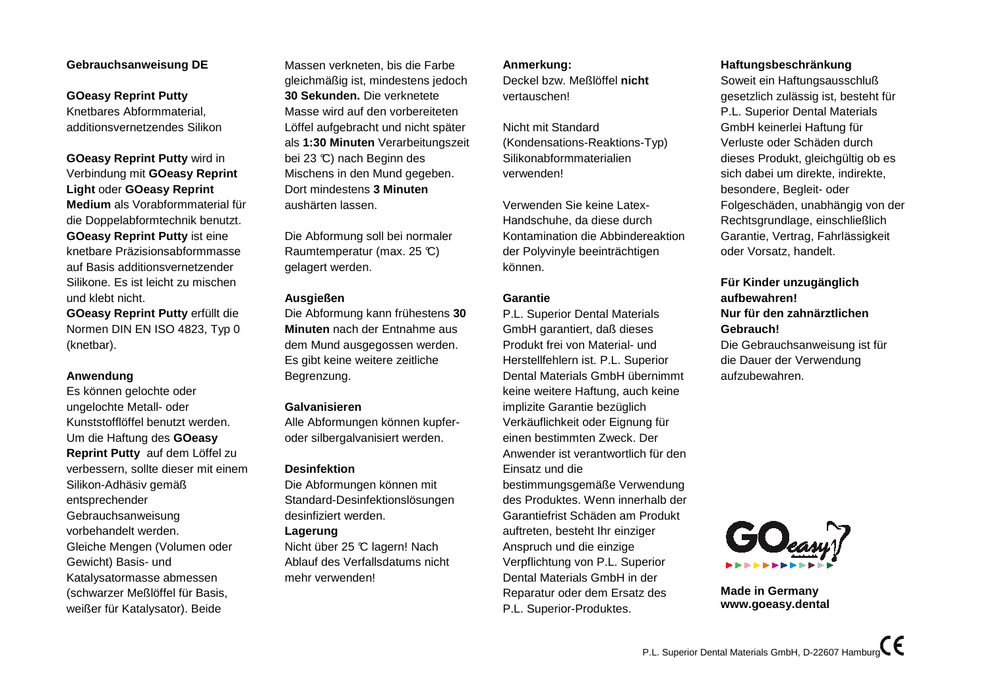# **Gebrauchsanweisung DE**

**GOeasy Reprint Putty** Knetbares Abformmaterial,additionsvernetzendes Silikon

**GOeasy Reprint Putty** wird in Verbindung mit **GOeasy ReprintLight** oder **GOeasy Reprint Medium** als Vorabformmaterial fürdie Doppelabformtechnik benutzt.**GOeasy Reprint Putty** ist eine knetbare Präzisionsabformmasse auf Basis additionsvernetzenderSilikone. Es ist leicht zu mischenund klebt nicht.

**GOeasy Reprint Putty** erfüllt die Normen DIN EN ISO 4823, Typ 0(knetbar).

# **Anwendung**

 Es können gelochte oderungelochte Metall- oderKunststofflöffel benutzt werden.Um die Haftung des **GOeasy Reprint Putty** auf dem Löffel zu verbessern, sollte dieser mit einemSilikon-Adhäsiv gemäßentsprechenderGebrauchsanweisung vorbehandelt werden.Gleiche Mengen (Volumen oderGewicht) Basis- und Katalysatormasse abmessen (schwarzer Meßlöffel für Basis,weißer für Katalysator). Beide

Massen verkneten, bis die Farbe gleichmäßig ist, mindestens jedoch**30 Sekunden.** Die verknetete Masse wird auf den vorbereiteten Löffel aufgebracht und nicht späterals **1:30 Minuten** Verarbeitungszeitbei 23 °C) nach Beginn des Mischens in den Mund gegeben.Dort mindestens **3 Minuten**aushärten lassen.

Die Abformung soll bei normalerRaumtemperatur (max. 25 °C) gelagert werden.

#### **Ausgießen**

 Die Abformung kann frühestens **30Minuten** nach der Entnahme aus dem Mund ausgegossen werden.Es gibt keine weitere zeitlicheBegrenzung.

#### **Galvanisieren**

 Alle Abformungen können kupferoder silbergalvanisiert werden.

# **Desinfektion**

 Die Abformungen können mitStandard-Desinfektionslösungendesinfiziert werden.

#### **Lagerung**

 Nicht über 25 °C lagern! Nach Ablauf des Verfallsdatums nichtmehr verwenden!

# **Anmerkung:**

 Deckel bzw. Meßlöffel **nicht**vertauschen!

Nicht mit Standard (Kondensations-Reaktions-Typ)Silikonabformmaterialienverwenden!

Verwenden Sie keine Latex-Handschuhe, da diese durch Kontamination die Abbindereaktionder Polyvinyle beeinträchtigenkönnen.

# **Garantie**

 P.L. Superior Dental Materials GmbH garantiert, daß dieses Produkt frei von Material- und Herstellfehlern ist. P.L. SuperiorDental Materials GmbH übernimmtkeine weitere Haftung, auch keineimplizite Garantie bezüglich Verkäuflichkeit oder Eignung füreinen bestimmten Zweck. DerAnwender ist verantwortlich für denEinsatz und die bestimmungsgemäße Verwendung des Produktes. Wenn innerhalb derGarantiefrist Schäden am Produktauftreten, besteht Ihr einzigerAnspruch und die einzige Verpflichtung von P.L. SuperiorDental Materials GmbH in derReparatur oder dem Ersatz desP.L. Superior-Produktes.

# **Haftungsbeschränkung**

 Soweit ein Haftungsausschluß gesetzlich zulässig ist, besteht fürP.L. Superior Dental MaterialsGmbH keinerlei Haftung fürVerluste oder Schäden durch dieses Produkt, gleichgültig ob essich dabei um direkte, indirekte,besondere, Begleit- oder Folgeschäden, unabhängig von derRechtsgrundlage, einschließlich Garantie, Vertrag, Fahrlässigkeitoder Vorsatz, handelt.

# **Für Kinder unzugänglichaufbewahren!Nur für den zahnärztlichenGebrauch!**Die Gebrauchsanweisung ist für

die Dauer der Verwendungaufzubewahren.



**Made in Germanywww.goeasy.dental**